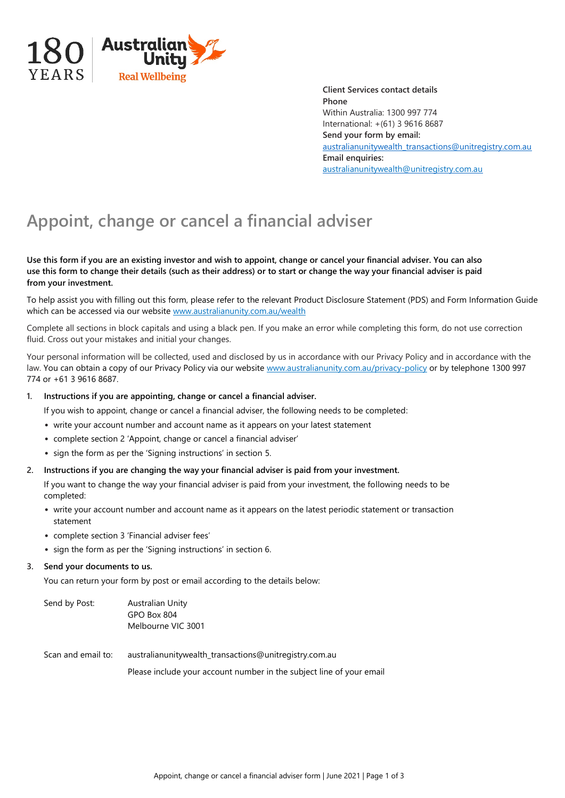

**Client Services contact details Phone** Within Australia: 1300 997 774 International: +(61) 3 9616 8687 **Send your form by email:** [australianunitywealth\\_transactions@unitregistry.com.au](mailto:australianunitywealth_transactions@unitregistry.com.au) **Email enquiries:** [australianunitywealth@unitregistry.com.au](mailto:australianunitywealth@unitregistry.com.au)

# **Appoint, change or cancel a financial adviser**

#### **Use this form if you are an existing investor and wish to appoint, change or cancel your financial adviser. You can also use this form to change their details (such as their address) or to start or change the way your financial adviser is paid from your investment.**

To help assist you with filling out this form, please refer to the relevant Product Disclosure Statement (PDS) and Form Information Guide which can be accessed via our website www.australianunity.com.au/wealth

Complete all sections in block capitals and using a black pen. If you make an error while completing this form, do not use correction fluid. Cross out your mistakes and initial your changes.

Your personal information will be collected, used and disclosed by us in accordance with our Privacy Policy and in accordance with the law. You can obtain a copy of our Privacy Policy via our website www.australianunity.com.au/privacy-policy or by telephone 1300 997 774 or +61 3 9616 8687.

#### **1. Instructions if you are appointing, change or cancel a financial adviser.**

If you wish to appoint, change or cancel a financial adviser, the following needs to be completed:

- write your account number and account name as it appears on your latest statement
- complete section 2 'Appoint, change or cancel a financial adviser'
- sign the form as per the 'Signing instructions' in section 5.
- **2. Instructions if you are changing the way your financial adviser is paid from your investment.**

If you want to change the way your financial adviser is paid from your investment, the following needs to be completed:

- write your account number and account name as it appears on the latest periodic statement or transaction statement
- complete section 3 'Financial adviser fees'
- sign the form as per the 'Signing instructions' in section 6.

#### **3. Send your documents to us.**

You can return your form by post or email according to the details below:

| Send by Post:      | <b>Australian Unity</b><br>GPO Box 804<br>Melbourne VIC 3001                                                                   |
|--------------------|--------------------------------------------------------------------------------------------------------------------------------|
| Scan and email to: | australianunitywealth_transactions@unitregistry.com.au<br>Please include your account number in the subject line of your email |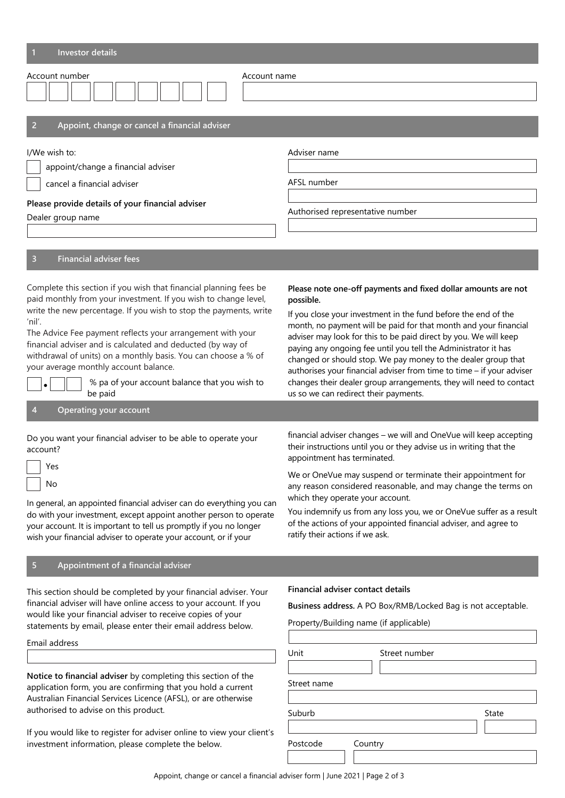| <b>Investor details</b>                                                                                                                                                                                                                                                                                                                                                                                                                                                                                                 |                                                                                                                                                                                                                                                                                                                                                                                                                                                                                                                                                                                                                 |  |  |
|-------------------------------------------------------------------------------------------------------------------------------------------------------------------------------------------------------------------------------------------------------------------------------------------------------------------------------------------------------------------------------------------------------------------------------------------------------------------------------------------------------------------------|-----------------------------------------------------------------------------------------------------------------------------------------------------------------------------------------------------------------------------------------------------------------------------------------------------------------------------------------------------------------------------------------------------------------------------------------------------------------------------------------------------------------------------------------------------------------------------------------------------------------|--|--|
| Account number<br>Account name                                                                                                                                                                                                                                                                                                                                                                                                                                                                                          |                                                                                                                                                                                                                                                                                                                                                                                                                                                                                                                                                                                                                 |  |  |
| Appoint, change or cancel a financial adviser<br>2                                                                                                                                                                                                                                                                                                                                                                                                                                                                      |                                                                                                                                                                                                                                                                                                                                                                                                                                                                                                                                                                                                                 |  |  |
| I/We wish to:<br>appoint/change a financial adviser<br>cancel a financial adviser<br>Please provide details of your financial adviser<br>Dealer group name<br><b>Financial adviser fees</b><br>3                                                                                                                                                                                                                                                                                                                        | Adviser name<br>AFSL number<br>Authorised representative number                                                                                                                                                                                                                                                                                                                                                                                                                                                                                                                                                 |  |  |
| Complete this section if you wish that financial planning fees be<br>paid monthly from your investment. If you wish to change level,<br>write the new percentage. If you wish to stop the payments, write<br>'nil'.<br>The Advice Fee payment reflects your arrangement with your<br>financial adviser and is calculated and deducted (by way of<br>withdrawal of units) on a monthly basis. You can choose a % of<br>your average monthly account balance.<br>% pa of your account balance that you wish to<br>be paid | Please note one-off payments and fixed dollar amounts are not<br>possible.<br>If you close your investment in the fund before the end of the<br>month, no payment will be paid for that month and your financial<br>adviser may look for this to be paid direct by you. We will keep<br>paying any ongoing fee until you tell the Administrator it has<br>changed or should stop. We pay money to the dealer group that<br>authorises your financial adviser from time to time - if your adviser<br>changes their dealer group arrangements, they will need to contact<br>us so we can redirect their payments. |  |  |
| <b>Operating your account</b><br>4                                                                                                                                                                                                                                                                                                                                                                                                                                                                                      |                                                                                                                                                                                                                                                                                                                                                                                                                                                                                                                                                                                                                 |  |  |
| Do you want your financial adviser to be able to operate your<br>account?<br>Yes<br>No<br>In general, an appointed financial adviser can do everything you can<br>do with your investment, except appoint another person to operate<br>your account. It is important to tell us promptly if you no longer<br>wish your financial adviser to operate your account, or if your                                                                                                                                            | financial adviser changes - we will and OneVue will keep accepting<br>their instructions until you or they advise us in writing that the<br>appointment has terminated.<br>We or OneVue may suspend or terminate their appointment for<br>any reason considered reasonable, and may change the terms on<br>which they operate your account.<br>You indemnify us from any loss you, we or OneVue suffer as a result<br>of the actions of your appointed financial adviser, and agree to<br>ratify their actions if we ask.                                                                                       |  |  |
| 5<br>Appointment of a financial adviser                                                                                                                                                                                                                                                                                                                                                                                                                                                                                 |                                                                                                                                                                                                                                                                                                                                                                                                                                                                                                                                                                                                                 |  |  |
| This section should be completed by your financial adviser. Your<br>financial adviser will have online access to your account. If you<br>would like your financial adviser to receive copies of your<br>statements by email, please enter their email address below.<br>Email address                                                                                                                                                                                                                                   | Financial adviser contact details<br>Business address. A PO Box/RMB/Locked Bag is not acceptable.<br>Property/Building name (if applicable)<br>Street number<br>Unit                                                                                                                                                                                                                                                                                                                                                                                                                                            |  |  |
| Notice to financial adviser by completing this section of the<br>application form, you are confirming that you hold a current<br>Australian Financial Services Licence (AFSL), or are otherwise<br>authorised to advise on this product.<br>If you would like to register for adviser online to view your client's<br>investment information, please complete the below.                                                                                                                                                | Street name<br>Suburb<br>State<br>Postcode<br>Country                                                                                                                                                                                                                                                                                                                                                                                                                                                                                                                                                           |  |  |

Appoint, change or cancel a financial adviser form | June 2021 | Page 2 of 3